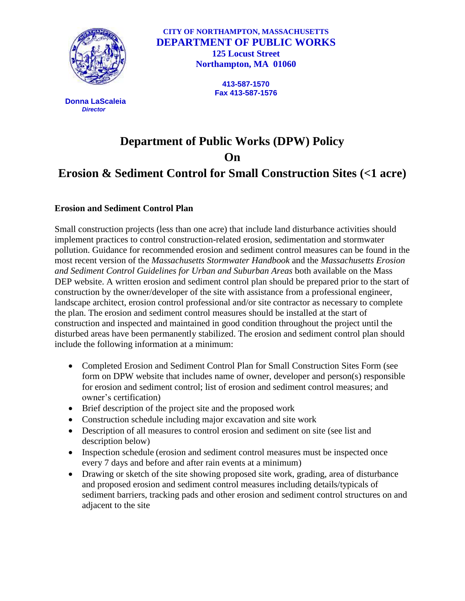

 **Donna LaScaleia** *Director*

**CITY OF NORTHAMPTON, MASSACHUSETTS DEPARTMENT OF PUBLIC WORKS 125 Locust Street Northampton, MA 01060**

> **413-587-1570 Fax 413-587-1576**

## **Department of Public Works (DPW) Policy On Erosion & Sediment Control for Small Construction Sites (<1 acre)**

## **Erosion and Sediment Control Plan**

Small construction projects (less than one acre) that include land disturbance activities should implement practices to control construction-related erosion, sedimentation and stormwater pollution. Guidance for recommended erosion and sediment control measures can be found in the most recent version of the *Massachusetts Stormwater Handbook* and the *Massachusetts Erosion and Sediment Control Guidelines for Urban and Suburban Areas* both available on the Mass DEP website. A written erosion and sediment control plan should be prepared prior to the start of construction by the owner/developer of the site with assistance from a professional engineer, landscape architect, erosion control professional and/or site contractor as necessary to complete the plan. The erosion and sediment control measures should be installed at the start of construction and inspected and maintained in good condition throughout the project until the disturbed areas have been permanently stabilized. The erosion and sediment control plan should include the following information at a minimum:

- Completed Erosion and Sediment Control Plan for Small Construction Sites Form (see form on DPW website that includes name of owner, developer and person(s) responsible for erosion and sediment control; list of erosion and sediment control measures; and owner's certification)
- Brief description of the project site and the proposed work
- Construction schedule including major excavation and site work
- Description of all measures to control erosion and sediment on site (see list and description below)
- Inspection schedule (erosion and sediment control measures must be inspected once every 7 days and before and after rain events at a minimum)
- Drawing or sketch of the site showing proposed site work, grading, area of disturbance and proposed erosion and sediment control measures including details/typicals of sediment barriers, tracking pads and other erosion and sediment control structures on and adjacent to the site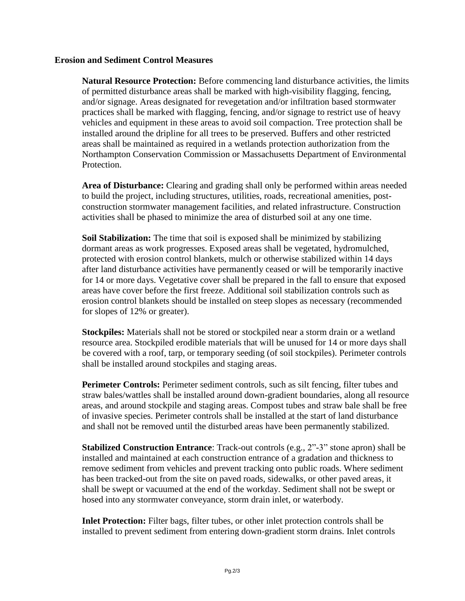## **Erosion and Sediment Control Measures**

**Natural Resource Protection:** Before commencing land disturbance activities, the limits of permitted disturbance areas shall be marked with high-visibility flagging, fencing, and/or signage. Areas designated for revegetation and/or infiltration based stormwater practices shall be marked with flagging, fencing, and/or signage to restrict use of heavy vehicles and equipment in these areas to avoid soil compaction. Tree protection shall be installed around the dripline for all trees to be preserved. Buffers and other restricted areas shall be maintained as required in a wetlands protection authorization from the Northampton Conservation Commission or Massachusetts Department of Environmental Protection.

**Area of Disturbance:** Clearing and grading shall only be performed within areas needed to build the project, including structures, utilities, roads, recreational amenities, postconstruction stormwater management facilities, and related infrastructure. Construction activities shall be phased to minimize the area of disturbed soil at any one time.

**Soil Stabilization:** The time that soil is exposed shall be minimized by stabilizing dormant areas as work progresses. Exposed areas shall be vegetated, hydromulched, protected with erosion control blankets, mulch or otherwise stabilized within 14 days after land disturbance activities have permanently ceased or will be temporarily inactive for 14 or more days. Vegetative cover shall be prepared in the fall to ensure that exposed areas have cover before the first freeze. Additional soil stabilization controls such as erosion control blankets should be installed on steep slopes as necessary (recommended for slopes of 12% or greater).

**Stockpiles:** Materials shall not be stored or stockpiled near a storm drain or a wetland resource area. Stockpiled erodible materials that will be unused for 14 or more days shall be covered with a roof, tarp, or temporary seeding (of soil stockpiles). Perimeter controls shall be installed around stockpiles and staging areas.

**Perimeter Controls:** Perimeter sediment controls, such as silt fencing, filter tubes and straw bales/wattles shall be installed around down-gradient boundaries, along all resource areas, and around stockpile and staging areas. Compost tubes and straw bale shall be free of invasive species. Perimeter controls shall be installed at the start of land disturbance and shall not be removed until the disturbed areas have been permanently stabilized.

**Stabilized Construction Entrance**: Track-out controls (e.g., 2"-3" stone apron) shall be installed and maintained at each construction entrance of a gradation and thickness to remove sediment from vehicles and prevent tracking onto public roads. Where sediment has been tracked-out from the site on paved roads, sidewalks, or other paved areas, it shall be swept or vacuumed at the end of the workday. Sediment shall not be swept or hosed into any stormwater conveyance, storm drain inlet, or waterbody.

**Inlet Protection:** Filter bags, filter tubes, or other inlet protection controls shall be installed to prevent sediment from entering down-gradient storm drains. Inlet controls